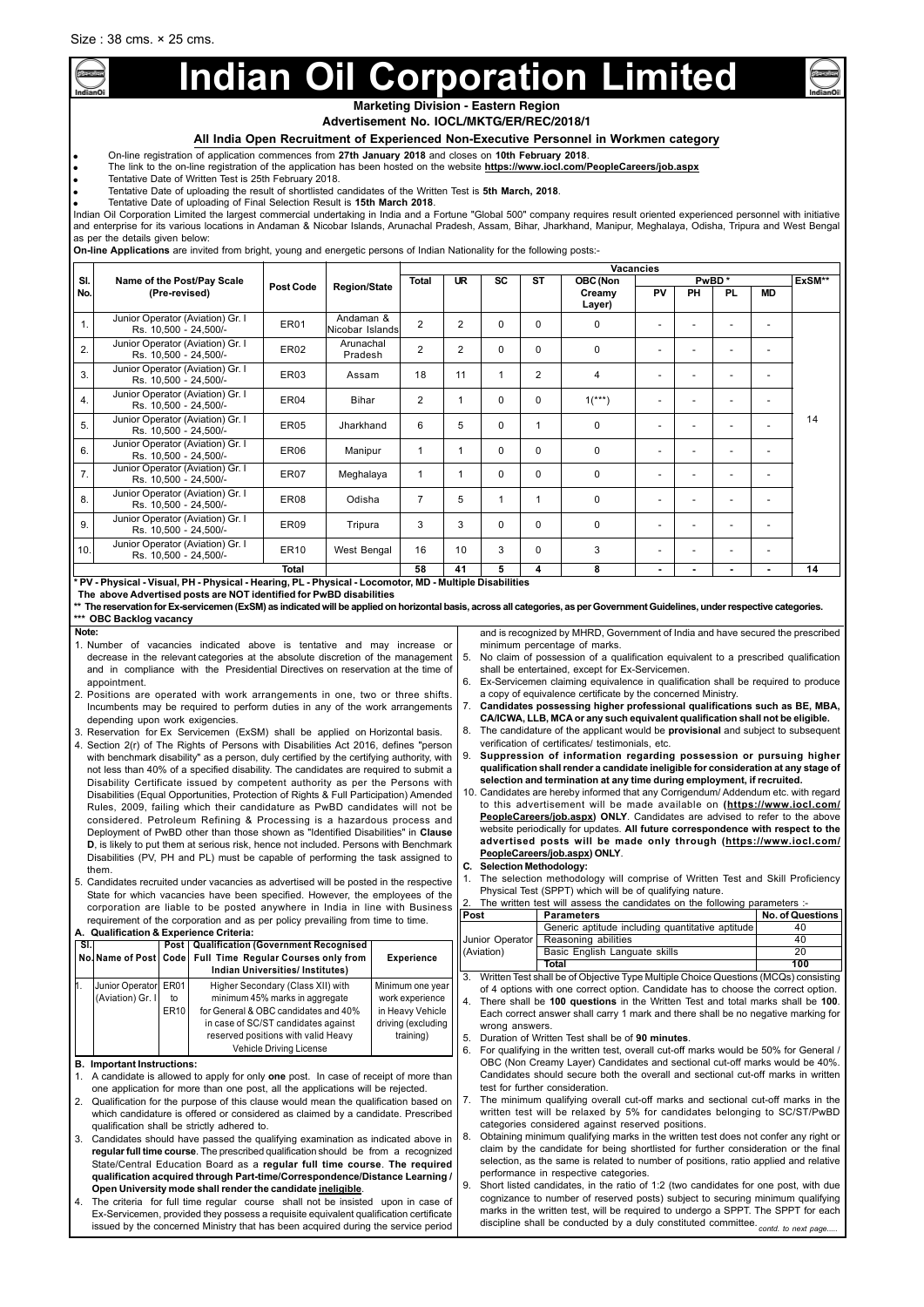## **All India Open Recruitment of Experienced Non-Executive Personnel in Workmen category**

● On-line registration of application commences from **27th January 2018** and closes on **10th February 2018**.

- The link to the on-line registration of the application has been hosted on the website **https://www.iocl.com/PeopleCareers/job.aspx**
- Tentative Date of Written Test is 25th February 2018.
- Tentative Date of uploading the result of shortlisted candidates of the Written Test is **5th March, 2018**.
- Tentative Date of uploading of Final Selection Result is **15th March 2018**.

| Note:                                                                                        |             |                           | and is recognized by MHRD, Government of India and have secured the prescribed        |                         |
|----------------------------------------------------------------------------------------------|-------------|---------------------------|---------------------------------------------------------------------------------------|-------------------------|
| 1. Number of vacancies indicated above is tentative and may increase or                      |             |                           | minimum percentage of marks.                                                          |                         |
| decrease in the relevant categories at the absolute discretion of the management             |             |                           | 5. No claim of possession of a qualification equivalent to a prescribed qualification |                         |
| and in compliance with the Presidential Directives on reservation at the time of             |             |                           | shall be entertained, except for Ex-Servicemen.                                       |                         |
| appointment.                                                                                 |             |                           | 6. Ex-Servicemen claiming equivalence in qualification shall be required to produce   |                         |
| 2. Positions are operated with work arrangements in one, two or three shifts.                |             |                           | a copy of equivalence certificate by the concerned Ministry.                          |                         |
| Incumbents may be required to perform duties in any of the work arrangements                 |             |                           | 7. Candidates possessing higher professional qualifications such as BE, MBA,          |                         |
| depending upon work exigencies.                                                              |             |                           | CA/ICWA, LLB, MCA or any such equivalent qualification shall not be eligible.         |                         |
| 3. Reservation for Ex Servicemen (ExSM) shall be applied on Horizontal basis.                |             |                           | 8. The candidature of the applicant would be provisional and subject to subsequent    |                         |
| 4. Section 2(r) of The Rights of Persons with Disabilities Act 2016, defines "person         |             |                           | verification of certificates/ testimonials, etc.                                      |                         |
| with benchmark disability" as a person, duly certified by the certifying authority, with     | 9.          |                           | Suppression of information regarding possession or pursuing higher                    |                         |
| not less than 40% of a specified disability. The candidates are required to submit a         |             |                           | qualification shall render a candidate ineligible for consideration at any stage of   |                         |
| Disability Certificate issued by competent authority as per the Persons with                 |             |                           | selection and termination at any time during employment, if recruited.                |                         |
| Disabilities (Equal Opportunities, Protection of Rights & Full Participation) Amended        |             |                           | 10. Candidates are hereby informed that any Corrigendum/Addendum etc. with regard     |                         |
| Rules, 2009, failing which their candidature as PwBD candidates will not be                  |             |                           | to this advertisement will be made available on (https://www.iocl.com/                |                         |
| considered. Petroleum Refining & Processing is a hazardous process and                       |             |                           | PeopleCareers/job.aspx) ONLY. Candidates are advised to refer to the above            |                         |
| Deployment of PwBD other than those shown as "Identified Disabilities" in Clause             |             |                           | website periodically for updates. All future correspondence with respect to the       |                         |
| <b>D</b> , is likely to put them at serious risk, hence not included. Persons with Benchmark |             |                           | advertised posts will be made only through (https://www.iocl.com/                     |                         |
| Disabilities (PV, PH and PL) must be capable of performing the task assigned to              |             |                           | PeopleCareers/job.aspx) ONLY.                                                         |                         |
| them.                                                                                        |             | C. Selection Methodology: |                                                                                       |                         |
| 5. Candidates recruited under vacancies as advertised will be posted in the respective       |             |                           | The selection methodology will comprise of Written Test and Skill Proficiency         |                         |
| State for which vacancies have been specified. However, the employees of the                 |             |                           | Physical Test (SPPT) which will be of qualifying nature.                              |                         |
| corporation are liable to be posted anywhere in India in line with Business                  | 2.          |                           | The written test will assess the candidates on the following parameters :-            |                         |
| requirement of the corporation and as per policy prevailing from time to time.               | <b>Post</b> |                           | <b>Parameters</b>                                                                     | <b>No. of Questions</b> |
| A. Qualification & Experience Criteria:                                                      |             |                           | Generic aptitude including quantitative aptitude                                      | 40                      |
| <b>Post   Qualification (Government Recognised</b><br>SI.                                    |             | Junior Operator           | Reasoning abilities                                                                   | 40                      |
| Nellame of Beat Cade Full Time Besular Courses only from<br>Evnesianes                       |             | (Aviation)                | Basic English Languate skills                                                         | 20                      |

Indian Oil Corporation Limited the largest commercial undertaking in India and a Fortune "Global 500" company requires result oriented experienced personnel with initiative and enterprise for its various locations in Andaman & Nicobar Islands, Arunachal Pradesh, Assam, Bihar, Jharkhand, Manipur, Meghalaya, Odisha, Tripura and West Bengal as per the details given below:

**On-line Applications** are invited from bright, young and energetic persons of Indian Nationality for the following posts:-

|     |                                                           |                  |                              |                |                |             |                |                      | <b>Vacancies</b>         |                          |                          |                          |        |
|-----|-----------------------------------------------------------|------------------|------------------------------|----------------|----------------|-------------|----------------|----------------------|--------------------------|--------------------------|--------------------------|--------------------------|--------|
| SI. | Name of the Post/Pay Scale                                | <b>Post Code</b> | <b>Region/State</b>          | <b>Total</b>   | <b>UR</b>      | <b>SC</b>   | <b>ST</b>      | <b>OBC (Non</b>      |                          |                          | PwBD*                    |                          | ExSM** |
| No. | (Pre-revised)                                             |                  |                              |                |                |             |                | Creamy<br>Layer)     | <b>PV</b>                | <b>PH</b>                | <b>PL</b>                | <b>MD</b>                |        |
| 1.  | Junior Operator (Aviation) Gr. I<br>Rs. 10,500 - 24,500/- | <b>ER01</b>      | Andaman &<br>Nicobar Islands | $\overline{2}$ | $\overline{2}$ | $\Omega$    | 0              | $\mathbf{0}$         |                          | ۰                        |                          |                          |        |
| 2.  | Junior Operator (Aviation) Gr. I<br>Rs. 10,500 - 24,500/- | <b>ER02</b>      | Arunachal<br>Pradesh         | $\overline{2}$ | $\overline{2}$ | $\Omega$    | $\Omega$       | $\Omega$             |                          |                          |                          |                          |        |
| 3.  | Junior Operator (Aviation) Gr. I<br>Rs. 10,500 - 24,500/- | <b>ER03</b>      | Assam                        | 18             | 11             |             | $\overline{2}$ | 4                    |                          |                          |                          |                          |        |
| 4.  | Junior Operator (Aviation) Gr. I<br>Rs. 10,500 - 24,500/- | ER <sub>04</sub> | Bihar                        | $\overline{2}$ |                | $\Omega$    | 0              | $1$ <sup>***</sup> ) |                          | ۰                        |                          |                          |        |
| 5.  | Junior Operator (Aviation) Gr. I<br>Rs. 10,500 - 24,500/- | <b>ER05</b>      | Jharkhand                    | 6              | 5              | $\mathbf 0$ | 1              | $\Omega$             |                          | ٠                        | $\overline{\phantom{a}}$ |                          | 14     |
| 6.  | Junior Operator (Aviation) Gr. I<br>Rs. 10,500 - 24,500/- | ER <sub>06</sub> | Manipur                      |                |                | $\Omega$    | $\mathbf 0$    | $\Omega$             |                          | ٠                        | $\overline{\phantom{a}}$ |                          |        |
| 7.  | Junior Operator (Aviation) Gr. I<br>Rs. 10,500 - 24,500/- | ER07             | Meghalaya                    | $\mathbf{1}$   | 1              | $\Omega$    | $\mathbf 0$    | $\Omega$             | $\overline{\phantom{a}}$ | $\overline{\phantom{a}}$ | $\overline{\phantom{a}}$ | $\overline{\phantom{a}}$ |        |
| 8.  | Junior Operator (Aviation) Gr. I<br>Rs. 10,500 - 24,500/- | ER08             | Odisha                       | $\overline{7}$ | 5              |             | 1              | $\Omega$             |                          |                          |                          |                          |        |
| 9.  | Junior Operator (Aviation) Gr. I<br>Rs. 10,500 - 24,500/- | ER <sub>09</sub> | Tripura                      | 3              | 3              | $\Omega$    | $\mathbf{0}$   | $\Omega$             |                          |                          |                          |                          |        |
| 10. | Junior Operator (Aviation) Gr. I<br>Rs. 10,500 - 24,500/- | <b>ER10</b>      | West Bengal                  | 16             | 10             | 3           | $\mathbf 0$    | 3                    | $\overline{\phantom{0}}$ | ۰                        |                          |                          |        |
|     |                                                           | <b>Total</b>     |                              | 58             | 41             | 5           | 4              | 8                    | $\blacksquare$           | ۰                        | $\blacksquare$           | $\overline{\phantom{a}}$ | 14     |

**\* PV - Physical - Visual, PH - Physical - Hearing, PL - Physical - Locomotor, MD - Multiple Disabilities**

|    |                                     |                                | No. Name of Post   Code   Full Time Regular Courses only from                                                                                                                                                                                                                                                                    | <b>Experience</b>                                                                          |                |                | <b>David English Edingdate Skins</b>                                                                                                                                                                                                                                                                                                                                                                                                                                                        | ⊷   |
|----|-------------------------------------|--------------------------------|----------------------------------------------------------------------------------------------------------------------------------------------------------------------------------------------------------------------------------------------------------------------------------------------------------------------------------|--------------------------------------------------------------------------------------------|----------------|----------------|---------------------------------------------------------------------------------------------------------------------------------------------------------------------------------------------------------------------------------------------------------------------------------------------------------------------------------------------------------------------------------------------------------------------------------------------------------------------------------------------|-----|
|    |                                     |                                | Indian Universities/Institutes)                                                                                                                                                                                                                                                                                                  |                                                                                            |                |                | <b>Total</b>                                                                                                                                                                                                                                                                                                                                                                                                                                                                                | 100 |
|    | Junior Operator<br>(Aviation) Gr. I | ER01<br>to<br>ER <sub>10</sub> | Higher Secondary (Class XII) with<br>minimum 45% marks in aggregate<br>for General & OBC candidates and 40%<br>in case of SC/ST candidates against<br>reserved positions with valid Heavy<br>Vehicle Driving License                                                                                                             | Minimum one year<br>work experience<br>in Heavy Vehicle<br>driving (excluding<br>training) | 3.<br>5.<br>6. | wrong answers. | Written Test shall be of Objective Type Multiple Choice Questions (MCQs) consisting<br>of 4 options with one correct option. Candidate has to choose the correct option.<br>There shall be 100 questions in the Written Test and total marks shall be 100.<br>Each correct answer shall carry 1 mark and there shall be no negative marking for<br>Duration of Written Test shall be of 90 minutes.<br>For qualifying in the written test, overall cut-off marks would be 50% for General / |     |
|    | <b>B.</b> Important Instructions:   |                                | A candidate is allowed to apply for only <b>one</b> post. In case of receipt of more than<br>one application for more than one post, all the applications will be rejected.                                                                                                                                                      |                                                                                            |                |                | OBC (Non Creamy Layer) Candidates and sectional cut-off marks would be 40%.<br>Candidates should secure both the overall and sectional cut-off marks in written<br>test for further consideration.                                                                                                                                                                                                                                                                                          |     |
| 2. |                                     |                                | Qualification for the purpose of this clause would mean the qualification based on<br>which candidature is offered or considered as claimed by a candidate. Prescribed<br>qualification shall be strictly adhered to.                                                                                                            |                                                                                            |                |                | The minimum qualifying overall cut-off marks and sectional cut-off marks in the<br>written test will be relaxed by 5% for candidates belonging to SC/ST/PwBD<br>categories considered against reserved positions.                                                                                                                                                                                                                                                                           |     |
| 3. |                                     |                                | Candidates should have passed the qualifying examination as indicated above in<br>regular full time course. The prescribed qualification should be from a recognized<br>State/Central Education Board as a regular full time course. The required<br>qualification acquired through Part-time/Correspondence/Distance Learning / |                                                                                            | 8.<br>9.       |                | Obtaining minimum qualifying marks in the written test does not confer any right or<br>claim by the candidate for being shortlisted for further consideration or the final<br>selection, as the same is related to number of positions, ratio applied and relative<br>performance in respective categories.<br>Short listed candidates, in the ratio of 1:2 (two candidates for one post, with due                                                                                          |     |
| 4. |                                     |                                | Open University mode shall render the candidate ineligible.<br>The criteria for full time regular course shall not be insisted upon in case of<br>Ex-Servicemen, provided they possess a requisite equivalent qualification certificate<br>issued by the concerned Ministry that has been acquired during the service period     |                                                                                            |                |                | cognizance to number of reserved posts) subject to securing minimum qualifying<br>marks in the written test, will be required to undergo a SPPT. The SPPT for each<br>discipline shall be conducted by a duly constituted committee. contd. to next page                                                                                                                                                                                                                                    |     |

 **The above Advertised posts are NOT identified for PwBD disabilities**

**\*\* The reservation for Ex-servicemen (ExSM) as indicated will be applied on horizontal basis, across all categories, as per Government Guidelines, under respective categories. \*\*\* OBC Backlog vacancy**

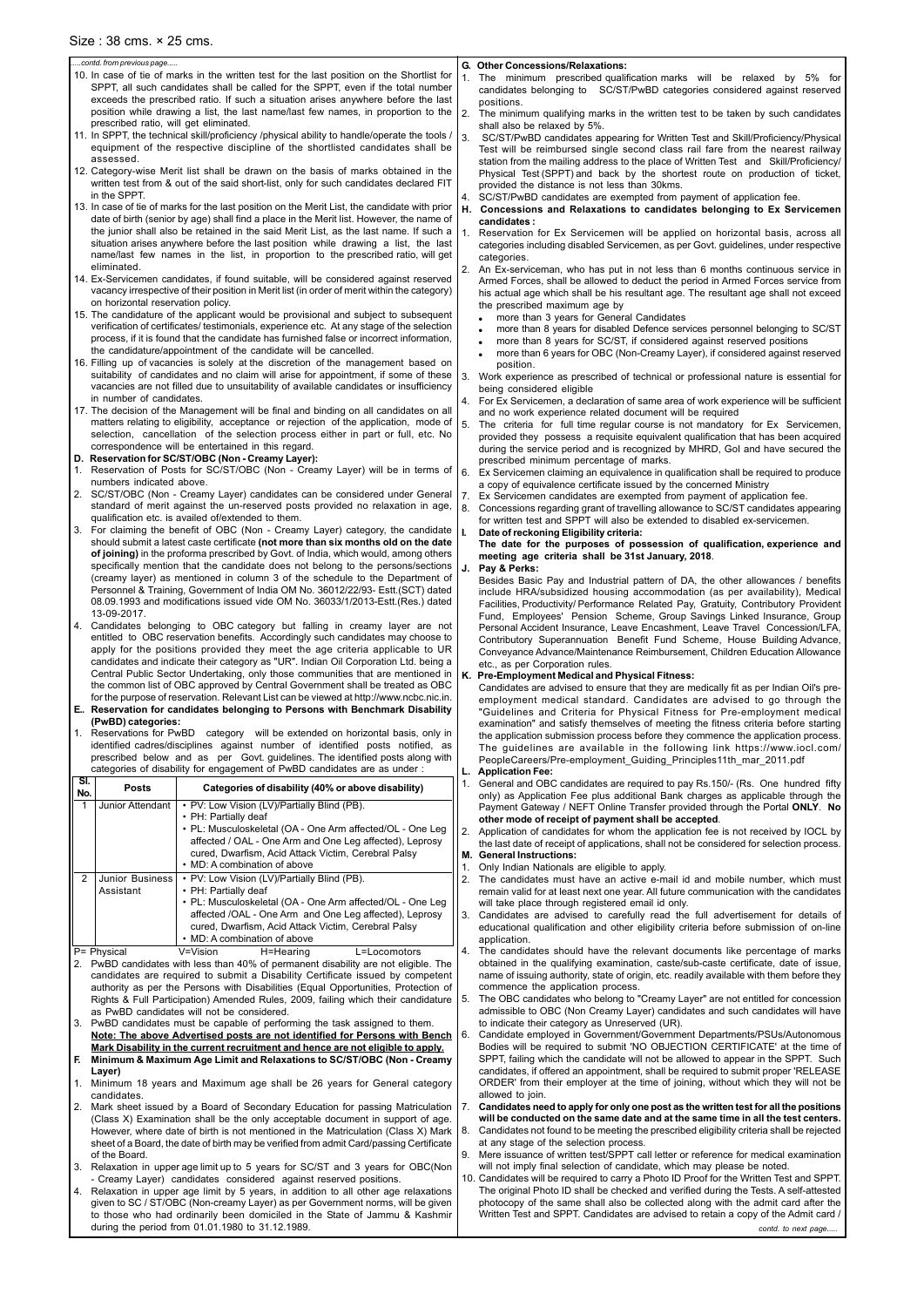- 10. In case of tie of marks in the written test for the last position on the Shortlist for SPPT, all such candidates shall be called for the SPPT, even if the total number exceeds the prescribed ratio. If such a situation arises anywhere before the last position while drawing a list, the last name/last few names, in proportion to the prescribed ratio, will get eliminated.
- 11. In SPPT, the technical skill/proficiency /physical ability to handle/operate the tools / equipment of the respective discipline of the shortlisted candidates shall be assessed.
- 12. Category-wise Merit list shall be drawn on the basis of marks obtained in the written test from & out of the said short-list, only for such candidates declared FIT in the SPPT.
- 13. In case of tie of marks for the last position on the Merit List, the candidate with prior date of birth (senior by age) shall find a place in the Merit list. However, the name of the junior shall also be retained in the said Merit List, as the last name. If such a situation arises anywhere before the last position while drawing a list, the last name/last few names in the list, in proportion to the prescribed ratio, will get eliminated.
- 14. Ex-Servicemen candidates, if found suitable, will be considered against reserved vacancy irrespective of their position in Merit list (in order of merit within the category) on horizontal reservation policy.
- 15. The candidature of the applicant would be provisional and subject to subsequent verification of certificates/ testimonials, experience etc. At any stage of the selection process, if it is found that the candidate has furnished false or incorrect information, the candidature/appointment of the candidate will be cancelled.
- 16. Filling up of vacancies is solely at the discretion of the management based on suitability of candidates and no claim will arise for appointment, if some of these vacancies are not filled due to unsuitability of available candidates or insufficiency in number of candidates.
- 17. The decision of the Management will be final and binding on all candidates on all matters relating to eligibility, acceptance or rejection of the application, mode of selection, cancellation of the selection process either in part or full, etc. No correspondence will be entertained in this regard.
- **D. Reservation for SC/ST/OBC (Non Creamy Layer):**
- 1. Reservation of Posts for SC/ST/OBC (Non Creamy Layer) will be in terms of numbers indicated above.
- 2. SC/ST/OBC (Non Creamy Layer) candidates can be considered under General standard of merit against the un-reserved posts provided no relaxation in age, qualification etc. is availed of/extended to them.
- 3. For claiming the benefit of OBC (Non Creamy Layer) category, the candidate should submit a latest caste certificate **(not more than six months old on the date of joining)** in the proforma prescribed by Govt. of India, which would, among others specifically mention that the candidate does not belong to the persons/sections (creamy layer) as mentioned in column 3 of the schedule to the Department of Personnel & Training, Government of India OM No. 36012/22/93- Estt.(SCT) dated 08.09.1993 and modifications issued vide OM No. 36033/1/2013-Estt.(Res.) dated 13-09-2017.
- 4. Candidates belonging to OBC category but falling in creamy layer are not entitled to OBC reservation benefits. Accordingly such candidates may choose to apply for the positions provided they meet the age criteria applicable to UR candidates and indicate their category as "UR". Indian Oil Corporation Ltd. being a Central Public Sector Undertaking, only those communities that are mentioned in the common list of OBC approved by Central Government shall be treated as OBC for the purpose of reservation. Relevant List can be viewed at http://www.ncbc.nic.in.
- **E.. Reservation for candidates belonging to Persons with Benchmark Disability (PwBD) categories:**
- 1. Reservations for PwBD category will be extended on horizontal basis, only in identified cadres/disciplines against number of identified posts notified, as prescribed below and as per Govt. guidelines. The identified posts along with categories of disability for engagement of PwBD candidates are as under :

| SI.<br>No.     | <b>Posts</b>            | Categories of disability (40% or above disability)                               |  |
|----------------|-------------------------|----------------------------------------------------------------------------------|--|
|                | <b>Junior Attendant</b> | • PV: Low Vision (LV)/Partially Blind (PB).                                      |  |
|                |                         | • PH: Partially deaf                                                             |  |
|                |                         | • PL: Musculoskeletal (OA - One Arm affected/OL - One Leg                        |  |
|                |                         | affected / OAL - One Arm and One Leg affected), Leprosy                          |  |
|                |                         | cured, Dwarfism, Acid Attack Victim, Cerebral Palsy                              |  |
|                |                         | • MD: A combination of above                                                     |  |
| 2              | Junior Business         | • PV: Low Vision (LV)/Partially Blind (PB).                                      |  |
|                | Assistant               | • PH: Partially deaf                                                             |  |
|                |                         | • PL: Musculoskeletal (OA - One Arm affected/OL - One Leg                        |  |
|                |                         | affected /OAL - One Arm and One Leg affected), Leprosy                           |  |
|                |                         | cured, Dwarfism, Acid Attack Victim, Cerebral Palsy                              |  |
|                |                         | • MD: A combination of above                                                     |  |
|                |                         |                                                                                  |  |
|                | P= Physical             | V=Vision variables<br>H=Hearing<br>L=Locomotors                                  |  |
| 2 <sub>1</sub> |                         | PwBD candidates with less than 40% of permanent disability are not eligible. The |  |

candidates are required to submit a Disability Certificate issued by competent authority as per the Persons with Disabilities (Equal Opportunities, Protection of Rights & Full Participation) Amended Rules, 2009, failing which their candidature as PwBD candidates will not be considered. 3. PwBD candidates must be capable of performing the task assigned to them. **Note: The above Advertised posts are not identified for Persons with Bench Mark Disability in the current recruitment and hence are not eligible to apply. F. Minimum & Maximum Age Limit and Relaxations to SC/ST/OBC (Non - Creamy Layer)**

#### **G. Other Concessions/Relaxations:**

- 1. The minimum prescribed qualification marks will be relaxed by 5% for candidates belonging to SC/ST/PwBD categories considered against reserved positions.
- 2. The minimum qualifying marks in the written test to be taken by such candidates shall also be relaxed by 5%.
- 3. SC/ST/PwBD candidates appearing for Written Test and Skill/Proficiency/Physical Test will be reimbursed single second class rail fare from the nearest railway station from the mailing address to the place of Written Test and Skill/Proficiency/ Physical Test (SPPT) and back by the shortest route on production of ticket, provided the distance is not less than 30kms.
- SC/ST/PwBD candidates are exempted from payment of application fee.
- **H. Concessions and Relaxations to candidates belonging to Ex Servicemen candidates :**
- Reservation for Ex Servicemen will be applied on horizontal basis, across all categories including disabled Servicemen, as per Govt. guidelines, under respective categories.
- 2. An Ex-serviceman, who has put in not less than 6 months continuous service in Armed Forces, shall be allowed to deduct the period in Armed Forces service from his actual age which shall be his resultant age. The resultant age shall not exceed the prescribed maximum age by
	- more than 3 years for General Candidates
	- more than 8 years for disabled Defence services personnel belonging to SC/ST
	- more than 8 years for SC/ST, if considered against reserved positions
	- more than 6 years for OBC (Non-Creamy Layer), if considered against reserved position.

3. Work experience as prescribed of technical or professional nature is essential for being considered eligible

- 4. For Ex Servicemen, a declaration of same area of work experience will be sufficient and no work experience related document will be required
- 5. The criteria for full time regular course is not mandatory for Ex Servicemen, provided they possess a requisite equivalent qualification that has been acquired during the service period and is recognized by MHRD, GoI and have secured the prescribed minimum percentage of marks.
- 6. Ex Servicemen claiming an equivalence in qualification shall be required to produce a copy of equivalence certificate issued by the concerned Ministry
- 7. Ex Servicemen candidates are exempted from payment of application fee.
- 8. Concessions regarding grant of travelling allowance to SC/ST candidates appearing for written test and SPPT will also be extended to disabled ex-servicemen. **I. Date of reckoning Eligibility criteria:**

**The date for the purposes of possession of qualification, experience and meeting age criteria shall be 31st January, 2018**.

#### **J. Pay & Perks:**

Besides Basic Pay and Industrial pattern of DA, the other allowances / benefits include HRA/subsidized housing accommodation (as per availability), Medical Facilities, Productivity/ Performance Related Pay, Gratuity, Contributory Provident Fund, Employees' Pension Scheme, Group Savings Linked Insurance, Group Personal Accident Insurance, Leave Encashment, Leave Travel Concession/LFA, Contributory Superannuation Benefit Fund Scheme, House Building Advance, Conveyance Advance/Maintenance Reimbursement, Children Education Allowance etc., as per Corporation rules.

### **K. Pre-Employment Medical and Physical Fitness:**

Candidates are advised to ensure that they are medically fit as per Indian Oil's preemployment medical standard. Candidates are advised to go through the "Guidelines and Criteria for Physical Fitness for Pre-employment medical examination" and satisfy themselves of meeting the fitness criteria before starting the application submission process before they commence the application process. The guidelines are available in the following link https://www.iocl.com/ PeopleCareers/Pre-employment\_Guiding\_Principles11th\_mar\_2011.pdf

#### **L. Application Fee:**

1. General and OBC candidates are required to pay Rs.150/- (Rs. One hundred fifty only) as Application Fee plus additional Bank charges as applicable through the Payment Gateway / NEFT Online Transfer provided through the Portal **ONLY**. **No other mode of receipt of payment shall be accepted**.

2. Application of candidates for whom the application fee is not received by IOCL by the last date of receipt of applications, shall not be considered for selection process. **M. General Instructions:**

- 1. Only Indian Nationals are eligible to apply.
- 2. The candidates must have an active e-mail id and mobile number, which must remain valid for at least next one year. All future communication with the candidates will take place through registered email id only.
- Candidates are advised to carefully read the full advertisement for details of educational qualification and other eligibility criteria before submission of on-line application.
- 4. The candidates should have the relevant documents like percentage of marks obtained in the qualifying examination, caste/sub-caste certificate, date of issue, name of issuing authority, state of origin, etc. readily available with them before they commence the application process. 5. The OBC candidates who belong to "Creamy Layer" are not entitled for concession admissible to OBC (Non Creamy Layer) candidates and such candidates will have to indicate their category as Unreserved (UR). 6. Candidate employed in Government/Government Departments/PSUs/Autonomous Bodies will be required to submit 'NO OBJECTION CERTIFICATE' at the time of SPPT, failing which the candidate will not be allowed to appear in the SPPT. Such candidates, if offered an appointment, shall be required to submit proper 'RELEASE ORDER' from their employer at the time of joining, without which they will not be allowed to join.
- 1. Minimum 18 years and Maximum age shall be 26 years for General category candidates.
- 2. Mark sheet issued by a Board of Secondary Education for passing Matriculation (Class X) Examination shall be the only acceptable document in support of age. However, where date of birth is not mentioned in the Matriculation (Class X) Mark sheet of a Board, the date of birth may be verified from admit Card/passing Certificate of the Board.
- 3. Relaxation in upper age limit up to 5 years for SC/ST and 3 years for OBC(Non - Creamy Layer) candidates considered against reserved positions.
- 4. Relaxation in upper age limit by 5 years, in addition to all other age relaxations given to SC / ST/OBC (Non-creamy Layer) as per Government norms, will be given to those who had ordinarily been domiciled in the State of Jammu & Kashmir during the period from 01.01.1980 to 31.12.1989.
- 7. **Candidates need to apply for only one post as the written test for all the positions will be conducted on the same date and at the same time in all the test centers.** 8. Candidates not found to be meeting the prescribed eligibility criteria shall be rejected at any stage of the selection process.
- 9. Mere issuance of written test/SPPT call letter or reference for medical examination will not imply final selection of candidate, which may please be noted.
- 10. Candidates will be required to carry a Photo ID Proof for the Written Test and SPPT. The original Photo ID shall be checked and verified during the Tests. A self-attested photocopy of the same shall also be collected along with the admit card after the Written Test and SPPT. Candidates are advised to retain a copy of the Admit card /

contd. to next page.

#### *.....contd. from previous page.....*